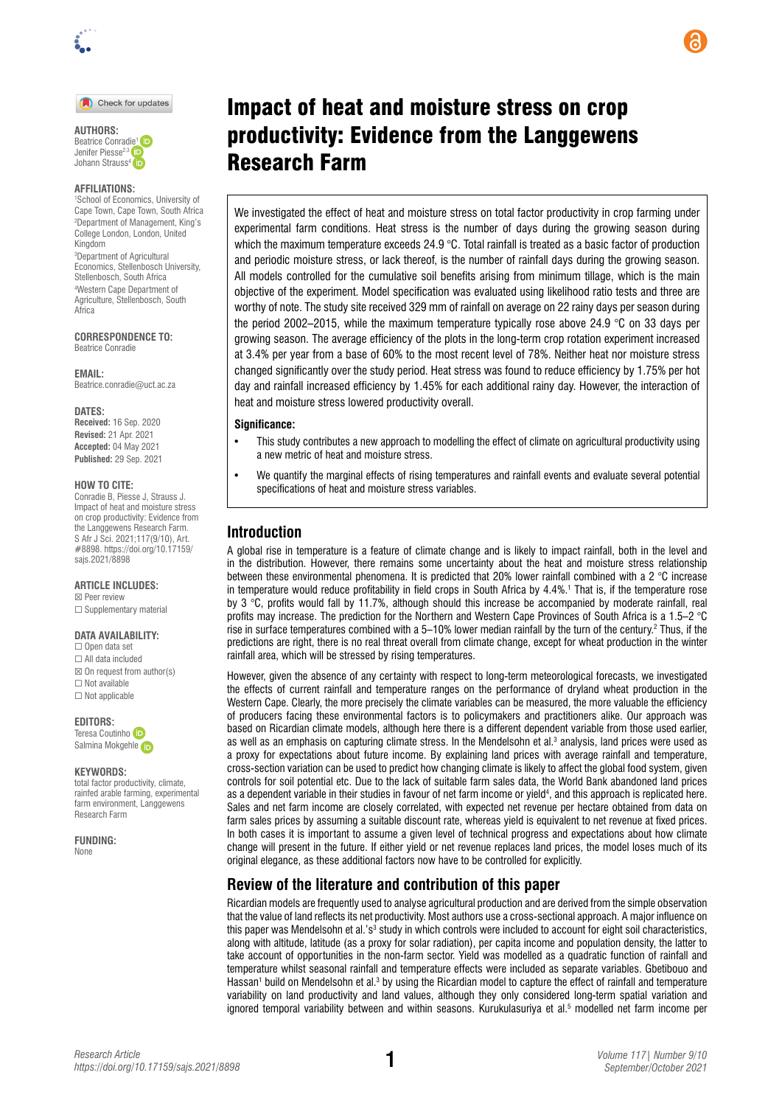

Check for updates

**AUTHORS:**  Beatrice Conra[die](https://orcid.org/0000-0002-6584-6678)<sup>1</sup> Jenifer Piesse<sup>2,3</sup> Johann Strauss<sup>4</sup> iD

#### **AFFILIATIONS:**

1 School of Economics, University of Cape Town, Cape Town, South Africa 2 Department of Management, King's College London, London, United Kingdom 3 Department of Agricultural

Economics, Stellenbosch University, Stellenbosch, South Africa 4 Western Cape Department of Agriculture, Stellenbosch, South Africa

**CORRESPONDENCE TO:**  Beatrice Conradie

**EMAIL:**  [Beatrice.conradie@uct.ac.za](mailto:Beatrice.conradie@uct.ac.za)

**DATES: Received:** 16 Sep. 2020

**Revised:** 21 Apr. 2021 **Accepted:** 04 May 2021 **Published:** 29 Sep. 2021

#### **HOW TO CITE:**

Conradie B, Piesse J, Strauss J. Impact of heat and moisture stress on crop productivity: Evidence from the Langgewens Research Farm. S Afr J Sci. 2021;117(9/10), Art. #8898. [https://doi.org/10.17159/](https://doi.org/10.17159/sajs.2021/8898) [sajs.2021/8898](https://doi.org/10.17159/sajs.2021/8898)

#### **ARTICLE INCLUDES:**

☒ Peer review ☐ Supplementary material

#### **DATA AVAILABILITY:**

☐ Open data set ☐ All data included  $\boxtimes$  On request from author(s) ☐ Not available ☐ Not applicable

**EDITORS:** 

Teresa Coutinho Salmina Mokgehle

#### **KEYWORDS:**

total factor productivity, climate, rainfed arable farming, experimental farm environment, Langgewens Research Farm

**FUNDING:**  None

# Impact of heat and moisture stress on crop productivity: Evidence from the Langgewens Research Farm

We investigated the effect of heat and moisture stress on total factor productivity in crop farming under experimental farm conditions. Heat stress is the number of days during the growing season during which the maximum temperature exceeds 24.9  $^{\circ}$ C. Total rainfall is treated as a basic factor of production and periodic moisture stress, or lack thereof, is the number of rainfall days during the growing season. All models controlled for the cumulative soil benefits arising from minimum tillage, which is the main objective of the experiment. Model specification was evaluated using likelihood ratio tests and three are worthy of note. The study site received 329 mm of rainfall on average on 22 rainy days per season during the period 2002–2015, while the maximum temperature typically rose above 24.9 °C on 33 days per growing season. The average efficiency of the plots in the long-term crop rotation experiment increased at 3.4% per year from a base of 60% to the most recent level of 78%. Neither heat nor moisture stress changed significantly over the study period. Heat stress was found to reduce efficiency by 1.75% per hot day and rainfall increased efficiency by 1.45% for each additional rainy day. However, the interaction of heat and moisture stress lowered productivity overall.

#### **Significance:**

- This study contributes a new approach to modelling the effect of climate on agricultural productivity using a new metric of heat and moisture stress.
- We quantify the marginal effects of rising temperatures and rainfall events and evaluate several potential specifications of heat and moisture stress variables.

## **Introduction**

A global rise in temperature is a feature of climate change and is likely to impact rainfall, both in the level and in the distribution. However, there remains some uncertainty about the heat and moisture stress relationship between these environmental phenomena. It is predicted that 20% lower rainfall combined with a 2 °C increase in temperature would reduce profitability in field crops in South Africa by 4.4%.<sup>1</sup> That is, if the temperature rose by 3 °C, profits would fall by 11.7%, although should this increase be accompanied by moderate rainfall, real profits may increase. The prediction for the Northern and Western Cape Provinces of South Africa is a 1.5–2 °C rise in surface temperatures combined with a 5–10% lower median rainfall by the turn of the century.2 Thus, if the predictions are right, there is no real threat overall from climate change, except for wheat production in the winter rainfall area, which will be stressed by rising temperatures.

However, given the absence of any certainty with respect to long-term meteorological forecasts, we investigated the effects of current rainfall and temperature ranges on the performance of dryland wheat production in the Western Cape. Clearly, the more precisely the climate variables can be measured, the more valuable the efficiency of producers facing these environmental factors is to policymakers and practitioners alike. Our approach was based on Ricardian climate models, although here there is a different dependent variable from those used earlier, as well as an emphasis on capturing climate stress. In the Mendelsohn et al.<sup>3</sup> analysis, land prices were used as a proxy for expectations about future income. By explaining land prices with average rainfall and temperature, cross-section variation can be used to predict how changing climate is likely to affect the global food system, given controls for soil potential etc. Due to the lack of suitable farm sales data, the World Bank abandoned land prices as a dependent variable in their studies in favour of net farm income or yield4 , and this approach is replicated here. Sales and net farm income are closely correlated, with expected net revenue per hectare obtained from data on farm sales prices by assuming a suitable discount rate, whereas yield is equivalent to net revenue at fixed prices. In both cases it is important to assume a given level of technical progress and expectations about how climate change will present in the future. If either yield or net revenue replaces land prices, the model loses much of its original elegance, as these additional factors now have to be controlled for explicitly.

## **Review of the literature and contribution of this paper**

Ricardian models are frequently used to analyse agricultural production and are derived from the simple observation that the value of land reflects its net productivity. Most authors use a cross-sectional approach. A major influence on this paper was Mendelsohn et al.'s<sup>3</sup> study in which controls were included to account for eight soil characteristics, along with altitude, latitude (as a proxy for solar radiation), per capita income and population density, the latter to take account of opportunities in the non-farm sector. Yield was modelled as a quadratic function of rainfall and temperature whilst seasonal rainfall and temperature effects were included as separate variables. Gbetibouo and Hassan<sup>1</sup> build on Mendelsohn et al.<sup>3</sup> by using the Ricardian model to capture the effect of rainfall and temperature variability on land productivity and land values, although they only considered long-term spatial variation and ignored temporal variability between and within seasons. Kurukulasuriya et al.<sup>5</sup> modelled net farm income per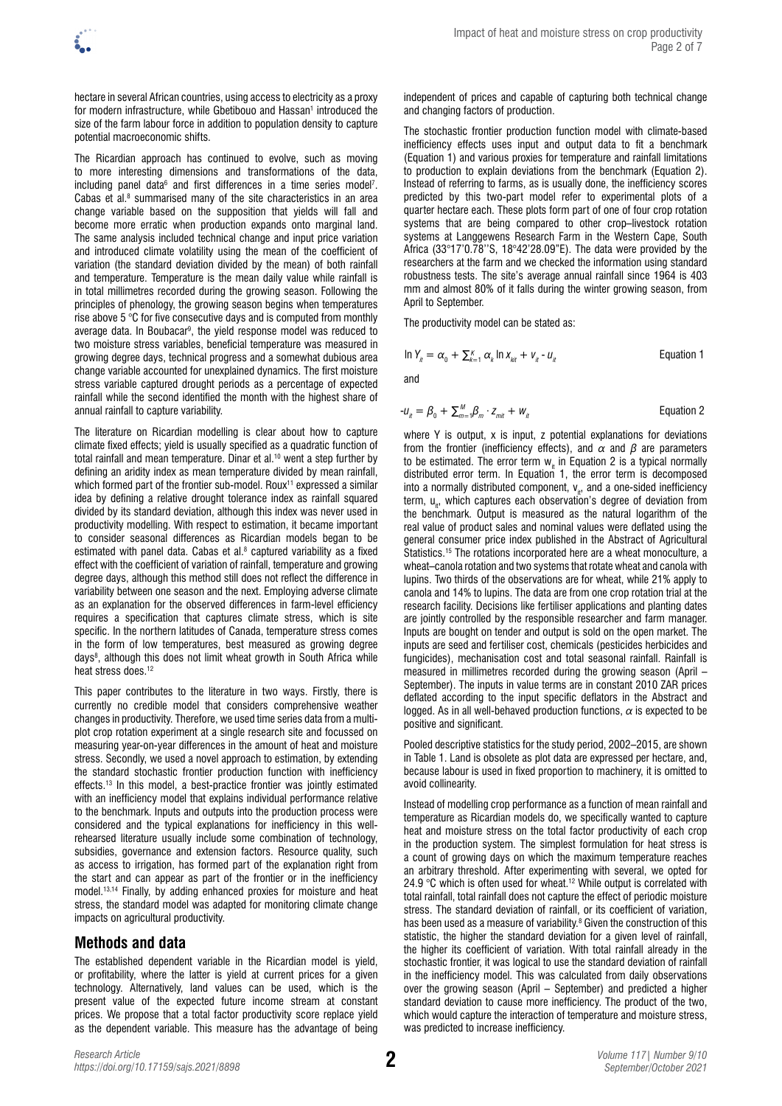hectare in several African countries, using access to electricity as a proxy for modern infrastructure, while Gbetibouo and Hassan<sup>1</sup> introduced the size of the farm labour force in addition to population density to capture potential macroeconomic shifts.

The Ricardian approach has continued to evolve, such as moving to more interesting dimensions and transformations of the data, including panel data $^6$  and first differences in a time series model<sup>7</sup>. Cabas et al. $8$  summarised many of the site characteristics in an area change variable based on the supposition that yields will fall and become more erratic when production expands onto marginal land. The same analysis included technical change and input price variation and introduced climate volatility using the mean of the coefficient of variation (the standard deviation divided by the mean) of both rainfall and temperature. Temperature is the mean daily value while rainfall is in total millimetres recorded during the growing season. Following the principles of phenology, the growing season begins when temperatures rise above 5 °C for five consecutive days and is computed from monthly average data. In Boubacar<sup>9</sup>, the yield response model was reduced to two moisture stress variables, beneficial temperature was measured in growing degree days, technical progress and a somewhat dubious area change variable accounted for unexplained dynamics. The first moisture stress variable captured drought periods as a percentage of expected rainfall while the second identified the month with the highest share of annual rainfall to capture variability.

The literature on Ricardian modelling is clear about how to capture climate fixed effects; yield is usually specified as a quadratic function of total rainfall and mean temperature. Dinar et al.<sup>10</sup> went a step further by defining an aridity index as mean temperature divided by mean rainfall, which formed part of the frontier sub-model. Roux<sup>11</sup> expressed a similar idea by defining a relative drought tolerance index as rainfall squared divided by its standard deviation, although this index was never used in productivity modelling. With respect to estimation, it became important to consider seasonal differences as Ricardian models began to be estimated with panel data. Cabas et al.<sup>8</sup> captured variability as a fixed effect with the coefficient of variation of rainfall, temperature and growing degree days, although this method still does not reflect the difference in variability between one season and the next. Employing adverse climate as an explanation for the observed differences in farm-level efficiency requires a specification that captures climate stress, which is site specific. In the northern latitudes of Canada, temperature stress comes in the form of low temperatures, best measured as growing degree days<sup>8</sup>, although this does not limit wheat growth in South Africa while heat stress does.<sup>12</sup>

This paper contributes to the literature in two ways. Firstly, there is currently no credible model that considers comprehensive weather changes in productivity. Therefore, we used time series data from a multiplot crop rotation experiment at a single research site and focussed on measuring year-on-year differences in the amount of heat and moisture stress. Secondly, we used a novel approach to estimation, by extending the standard stochastic frontier production function with inefficiency effects.13 In this model, a best-practice frontier was jointly estimated with an inefficiency model that explains individual performance relative to the benchmark. Inputs and outputs into the production process were considered and the typical explanations for inefficiency in this wellrehearsed literature usually include some combination of technology, subsidies, governance and extension factors. Resource quality, such as access to irrigation, has formed part of the explanation right from the start and can appear as part of the frontier or in the inefficiency model.13,14 Finally, by adding enhanced proxies for moisture and heat stress, the standard model was adapted for monitoring climate change impacts on agricultural productivity.

## **Methods and data**

The established dependent variable in the Ricardian model is yield, or profitability, where the latter is yield at current prices for a given technology. Alternatively, land values can be used, which is the present value of the expected future income stream at constant prices. We propose that a total factor productivity score replace yield as the dependent variable. This measure has the advantage of being

independent of prices and capable of capturing both technical change and changing factors of production.

The stochastic frontier production function model with climate-based inefficiency effects uses input and output data to fit a benchmark (Equation 1) and various proxies for temperature and rainfall limitations to production to explain deviations from the benchmark (Equation 2). Instead of referring to farms, as is usually done, the inefficiency scores predicted by this two-part model refer to experimental plots of a quarter hectare each. These plots form part of one of four crop rotation systems that are being compared to other crop–livestock rotation systems at Langgewens Research Farm in the Western Cape, South Africa (33°17'0.78''S, 18°42'28.09"E). The data were provided by the researchers at the farm and we checked the information using standard robustness tests. The site's average annual rainfall since 1964 is 403 mm and almost 80% of it falls during the winter growing season, from April to September.

The productivity model can be stated as:

$$
\ln Y_{it} = \alpha_0 + \sum_{k=1}^{K} \alpha_k \ln X_{kit} + V_{it} - U_{it}
$$
 Equation 1

and

$$
-u_{n} = \beta_{0} + \sum_{m=1}^{M} \beta_{m} \cdot z_{mit} + w_{it}
$$
 Equation 2

where Y is output, x is input, z potential explanations for deviations from the frontier (inefficiency effects), and *α* and *β* are parameters to be estimated. The error term  $w_{i}$  in Equation 2 is a typical normally distributed error term. In Equation 1, the error term is decomposed into a normally distributed component,  $v_{i,t}$ , and a one-sided inefficiency term, u<sub>n</sub>, which captures each observation's degree of deviation from the benchmark. Output is measured as the natural logarithm of the real value of product sales and nominal values were deflated using the general consumer price index published in the Abstract of Agricultural Statistics.<sup>15</sup> The rotations incorporated here are a wheat monoculture, a wheat–canola rotation and two systems that rotate wheat and canola with lupins. Two thirds of the observations are for wheat, while 21% apply to canola and 14% to lupins. The data are from one crop rotation trial at the research facility. Decisions like fertiliser applications and planting dates are jointly controlled by the responsible researcher and farm manager. Inputs are bought on tender and output is sold on the open market. The inputs are seed and fertiliser cost, chemicals (pesticides herbicides and fungicides), mechanisation cost and total seasonal rainfall. Rainfall is measured in millimetres recorded during the growing season (April – September). The inputs in value terms are in constant 2010 ZAR prices deflated according to the input specific deflators in the Abstract and logged. As in all well-behaved production functions, *α* is expected to be positive and significant.

Pooled descriptive statistics for the study period, 2002–2015, are shown in Table 1. Land is obsolete as plot data are expressed per hectare, and, because labour is used in fixed proportion to machinery, it is omitted to avoid collinearity.

Instead of modelling crop performance as a function of mean rainfall and temperature as Ricardian models do, we specifically wanted to capture heat and moisture stress on the total factor productivity of each crop in the production system. The simplest formulation for heat stress is a count of growing days on which the maximum temperature reaches an arbitrary threshold. After experimenting with several, we opted for 24.9  $\degree$ C which is often used for wheat.<sup>12</sup> While output is correlated with total rainfall, total rainfall does not capture the effect of periodic moisture stress. The standard deviation of rainfall, or its coefficient of variation, has been used as a measure of variability.<sup>8</sup> Given the construction of this statistic, the higher the standard deviation for a given level of rainfall, the higher its coefficient of variation. With total rainfall already in the stochastic frontier, it was logical to use the standard deviation of rainfall in the inefficiency model. This was calculated from daily observations over the growing season (April – September) and predicted a higher standard deviation to cause more inefficiency. The product of the two, which would capture the interaction of temperature and moisture stress, was predicted to increase inefficiency.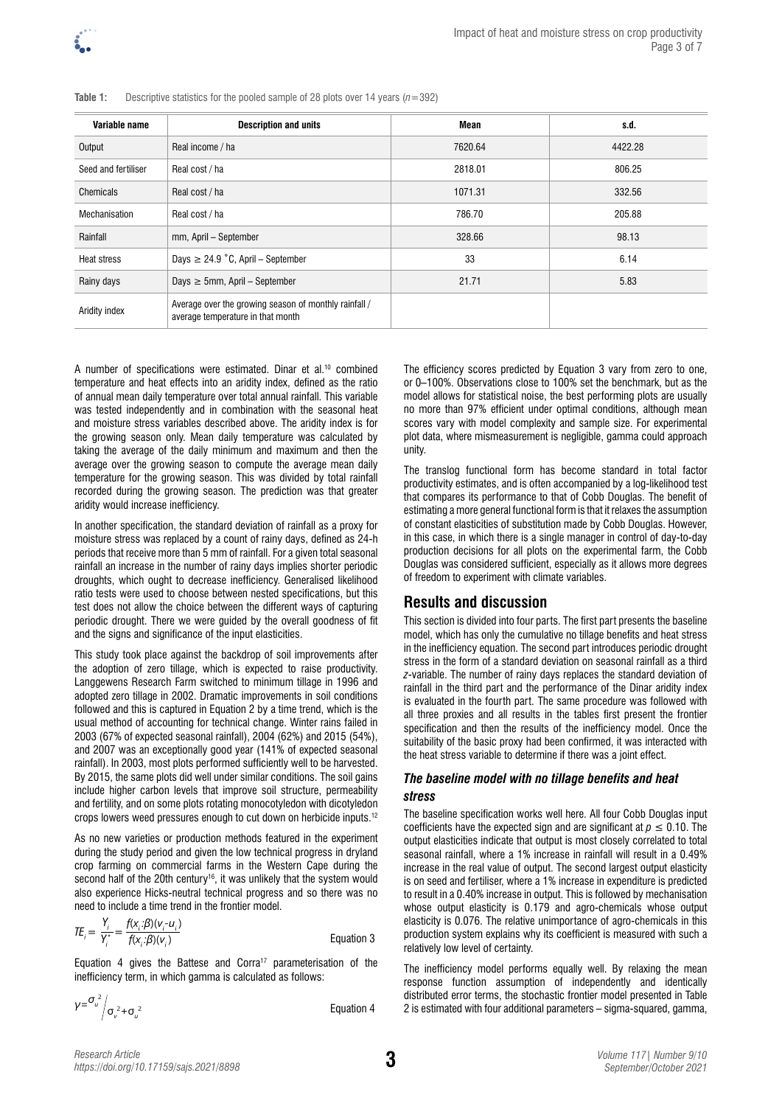

| Variable name       | <b>Description and units</b>                                                               | Mean    | s.d.    |
|---------------------|--------------------------------------------------------------------------------------------|---------|---------|
| Output              | Real income / ha                                                                           | 7620.64 | 4422.28 |
| Seed and fertiliser | Real cost / ha                                                                             | 2818.01 | 806.25  |
| Chemicals           | Real cost / ha                                                                             | 1071.31 | 332.56  |
| Mechanisation       | Real cost / ha                                                                             | 786.70  | 205.88  |
| Rainfall            | mm, April - September                                                                      | 328.66  | 98.13   |
| <b>Heat stress</b>  | Days $\geq$ 24.9 °C, April – September                                                     | 33      | 6.14    |
| Rainy days          | Days $\geq$ 5mm, April – September                                                         | 21.71   | 5.83    |
| Aridity index       | Average over the growing season of monthly rainfall /<br>average temperature in that month |         |         |

**Table 1:** Descriptive statistics for the pooled sample of 28 plots over 14 years (*n*=392)

A number of specifications were estimated. Dinar et al.10 combined temperature and heat effects into an aridity index, defined as the ratio of annual mean daily temperature over total annual rainfall. This variable was tested independently and in combination with the seasonal heat and moisture stress variables described above. The aridity index is for the growing season only. Mean daily temperature was calculated by taking the average of the daily minimum and maximum and then the average over the growing season to compute the average mean daily temperature for the growing season. This was divided by total rainfall recorded during the growing season. The prediction was that greater aridity would increase inefficiency.

In another specification, the standard deviation of rainfall as a proxy for moisture stress was replaced by a count of rainy days, defined as 24-h periods that receive more than 5 mm of rainfall. For a given total seasonal rainfall an increase in the number of rainy days implies shorter periodic droughts, which ought to decrease inefficiency. Generalised likelihood ratio tests were used to choose between nested specifications, but this test does not allow the choice between the different ways of capturing periodic drought. There we were guided by the overall goodness of fit and the signs and significance of the input elasticities.

This study took place against the backdrop of soil improvements after the adoption of zero tillage, which is expected to raise productivity. Langgewens Research Farm switched to minimum tillage in 1996 and adopted zero tillage in 2002. Dramatic improvements in soil conditions followed and this is captured in Equation 2 by a time trend, which is the usual method of accounting for technical change. Winter rains failed in 2003 (67% of expected seasonal rainfall), 2004 (62%) and 2015 (54%), and 2007 was an exceptionally good year (141% of expected seasonal rainfall). In 2003, most plots performed sufficiently well to be harvested. By 2015, the same plots did well under similar conditions. The soil gains include higher carbon levels that improve soil structure, permeability and fertility, and on some plots rotating monocotyledon with dicotyledon crops lowers weed pressures enough to cut down on herbicide inputs.12

As no new varieties or production methods featured in the experiment during the study period and given the low technical progress in dryland crop farming on commercial farms in the Western Cape during the second half of the 20th century<sup>16</sup>, it was unlikely that the system would also experience Hicks-neutral technical progress and so there was no need to include a time trend in the frontier model.

$$
TE_i = \frac{Y_i}{Y_i^*} = \frac{f(x_i \cdot \beta)(v_i - u_i)}{f(x_i \cdot \beta)(v_i)}
$$
 Equation 3

Equation 4 gives the Battese and Corra<sup>17</sup> parameterisation of the inefficiency term, in which gamma is calculated as follows:

$$
V = \frac{\sigma_u^2}{\sigma_v^2 + \sigma_u^2}
$$

or 0–100%. Observations close to 100% set the benchmark, but as the model allows for statistical noise, the best performing plots are usually no more than 97% efficient under optimal conditions, although mean scores vary with model complexity and sample size. For experimental plot data, where mismeasurement is negligible, gamma could approach unity.

The efficiency scores predicted by Equation 3 vary from zero to one.

The translog functional form has become standard in total factor productivity estimates, and is often accompanied by a log-likelihood test that compares its performance to that of Cobb Douglas. The benefit of estimating a more general functional form is that it relaxes the assumption of constant elasticities of substitution made by Cobb Douglas. However, in this case, in which there is a single manager in control of day-to-day production decisions for all plots on the experimental farm, the Cobb Douglas was considered sufficient, especially as it allows more degrees of freedom to experiment with climate variables.

### **Results and discussion**

This section is divided into four parts. The first part presents the baseline model, which has only the cumulative no tillage benefits and heat stress in the inefficiency equation. The second part introduces periodic drought stress in the form of a standard deviation on seasonal rainfall as a third *z*-variable. The number of rainy days replaces the standard deviation of rainfall in the third part and the performance of the Dinar aridity index is evaluated in the fourth part. The same procedure was followed with all three proxies and all results in the tables first present the frontier specification and then the results of the inefficiency model. Once the suitability of the basic proxy had been confirmed, it was interacted with the heat stress variable to determine if there was a joint effect.

#### *The baseline model with no tillage benefits and heat stress*

The baseline specification works well here. All four Cobb Douglas input coefficients have the expected sign and are significant at  $p \leq 0.10$ . The output elasticities indicate that output is most closely correlated to total seasonal rainfall, where a 1% increase in rainfall will result in a 0.49% increase in the real value of output. The second largest output elasticity is on seed and fertiliser, where a 1% increase in expenditure is predicted to result in a 0.40% increase in output. This is followed by mechanisation whose output elasticity is 0.179 and agro-chemicals whose output elasticity is 0.076. The relative unimportance of agro-chemicals in this production system explains why its coefficient is measured with such a relatively low level of certainty.

The inefficiency model performs equally well. By relaxing the mean response function assumption of independently and identically distributed error terms, the stochastic frontier model presented in Table 2 is estimated with four additional parameters – sigma-squared, gamma,

**Equation 4**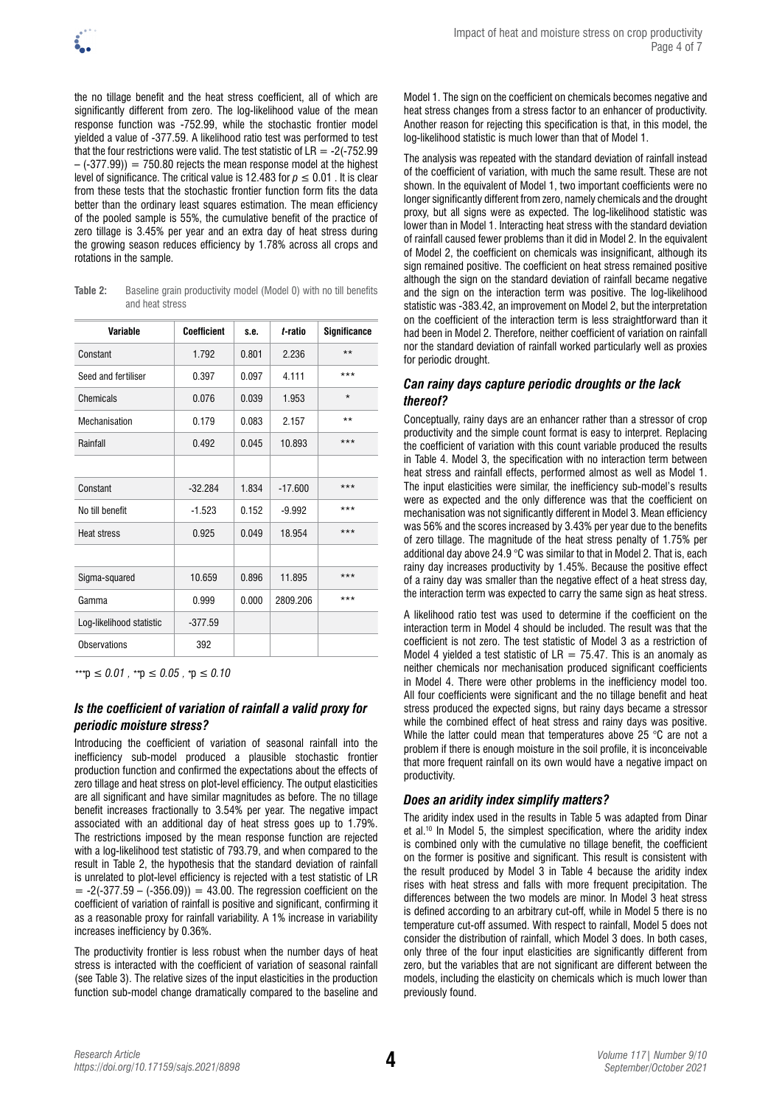the no tillage benefit and the heat stress coefficient, all of which are significantly different from zero. The log-likelihood value of the mean response function was -752.99, while the stochastic frontier model yielded a value of -377.59. A likelihood ratio test was performed to test that the four restrictions were valid. The test statistic of  $LR = -2(-752.99)$  $-$  (-377.99)) = 750.80 rejects the mean response model at the highest level of significance. The critical value is 12.483 for  $p \le 0.01$ . It is clear from these tests that the stochastic frontier function form fits the data better than the ordinary least squares estimation. The mean efficiency of the pooled sample is 55%, the cumulative benefit of the practice of zero tillage is 3.45% per year and an extra day of heat stress during the growing season reduces efficiency by 1.78% across all crops and rotations in the sample.

**Table 2:** Baseline grain productivity model (Model 0) with no till benefits and heat stress

| Variable                 | <b>Coefficient</b> | s.e.  | t-ratio   | <b>Significance</b> |  |
|--------------------------|--------------------|-------|-----------|---------------------|--|
| Constant                 | 1.792              | 0.801 | 2.236     | $**$                |  |
| Seed and fertiliser      | 0.397              | 0.097 | 4.111     | ***                 |  |
| Chemicals                | 0.076              | 0.039 | 1.953     | $\star$             |  |
| Mechanisation            | 0.179              | 0.083 | 2.157     | $***$               |  |
| Rainfall                 | 0.492              | 0.045 | 10.893    | ***                 |  |
|                          |                    |       |           |                     |  |
| Constant                 | $-32.284$          | 1.834 | $-17.600$ | ***                 |  |
| No till benefit          | $-1.523$           | 0.152 | $-9.992$  | ***                 |  |
| Heat stress              | 0.925              | 0.049 | 18.954    | ***                 |  |
|                          |                    |       |           |                     |  |
| Sigma-squared            | 10.659             | 0.896 | 11.895    | ***                 |  |
| Gamma                    | 0.999              | 0.000 | 2809.206  | ***                 |  |
| Log-likelihood statistic | $-377.59$          |       |           |                     |  |
| <b>Observations</b>      | 392                |       |           |                     |  |

*\*\*\**p *≤ 0.01 , \*\**p *≤ 0.05 , \**p *≤ 0.10* 

## *Is the coefficient of variation of rainfall a valid proxy for periodic moisture stress?*

Introducing the coefficient of variation of seasonal rainfall into the inefficiency sub-model produced a plausible stochastic frontier production function and confirmed the expectations about the effects of zero tillage and heat stress on plot-level efficiency. The output elasticities are all significant and have similar magnitudes as before. The no tillage benefit increases fractionally to 3.54% per year. The negative impact associated with an additional day of heat stress goes up to 1.79%. The restrictions imposed by the mean response function are rejected with a log-likelihood test statistic of 793.79, and when compared to the result in Table 2, the hypothesis that the standard deviation of rainfall is unrelated to plot-level efficiency is rejected with a test statistic of LR  $= -2(-377.59 - (-356.09)) = 43.00$ . The regression coefficient on the coefficient of variation of rainfall is positive and significant, confirming it as a reasonable proxy for rainfall variability. A 1% increase in variability increases inefficiency by 0.36%.

The productivity frontier is less robust when the number days of heat stress is interacted with the coefficient of variation of seasonal rainfall (see Table 3). The relative sizes of the input elasticities in the production function sub-model change dramatically compared to the baseline and Model 1. The sign on the coefficient on chemicals becomes negative and heat stress changes from a stress factor to an enhancer of productivity. Another reason for rejecting this specification is that, in this model, the log-likelihood statistic is much lower than that of Model 1.

The analysis was repeated with the standard deviation of rainfall instead of the coefficient of variation, with much the same result. These are not shown. In the equivalent of Model 1, two important coefficients were no longer significantly different from zero, namely chemicals and the drought proxy, but all signs were as expected. The log-likelihood statistic was lower than in Model 1. Interacting heat stress with the standard deviation of rainfall caused fewer problems than it did in Model 2. In the equivalent of Model 2, the coefficient on chemicals was insignificant, although its sign remained positive. The coefficient on heat stress remained positive although the sign on the standard deviation of rainfall became negative and the sign on the interaction term was positive. The log-likelihood statistic was -383.42, an improvement on Model 2, but the interpretation on the coefficient of the interaction term is less straightforward than it had been in Model 2. Therefore, neither coefficient of variation on rainfall nor the standard deviation of rainfall worked particularly well as proxies for periodic drought.

#### *Can rainy days capture periodic droughts or the lack thereof?*

Conceptually, rainy days are an enhancer rather than a stressor of crop productivity and the simple count format is easy to interpret. Replacing the coefficient of variation with this count variable produced the results in Table 4. Model 3, the specification with no interaction term between heat stress and rainfall effects, performed almost as well as Model 1. The input elasticities were similar, the inefficiency sub-model's results were as expected and the only difference was that the coefficient on mechanisation was not significantly different in Model 3. Mean efficiency was 56% and the scores increased by 3.43% per year due to the benefits of zero tillage. The magnitude of the heat stress penalty of 1.75% per additional day above 24.9 °C was similar to that in Model 2. That is, each rainy day increases productivity by 1.45%. Because the positive effect of a rainy day was smaller than the negative effect of a heat stress day, the interaction term was expected to carry the same sign as heat stress.

A likelihood ratio test was used to determine if the coefficient on the interaction term in Model 4 should be included. The result was that the coefficient is not zero. The test statistic of Model 3 as a restriction of Model 4 yielded a test statistic of  $LR = 75.47$ . This is an anomaly as neither chemicals nor mechanisation produced significant coefficients in Model 4. There were other problems in the inefficiency model too. All four coefficients were significant and the no tillage benefit and heat stress produced the expected signs, but rainy days became a stressor while the combined effect of heat stress and rainy days was positive. While the latter could mean that temperatures above 25 °C are not a problem if there is enough moisture in the soil profile, it is inconceivable that more frequent rainfall on its own would have a negative impact on productivity.

### *Does an aridity index simplify matters?*

The aridity index used in the results in Table 5 was adapted from Dinar et al.10 In Model 5, the simplest specification, where the aridity index is combined only with the cumulative no tillage benefit, the coefficient on the former is positive and significant. This result is consistent with the result produced by Model 3 in Table 4 because the aridity index rises with heat stress and falls with more frequent precipitation. The differences between the two models are minor. In Model 3 heat stress is defined according to an arbitrary cut-off, while in Model 5 there is no temperature cut-off assumed. With respect to rainfall, Model 5 does not consider the distribution of rainfall, which Model 3 does. In both cases, only three of the four input elasticities are significantly different from zero, but the variables that are not significant are different between the models, including the elasticity on chemicals which is much lower than previously found.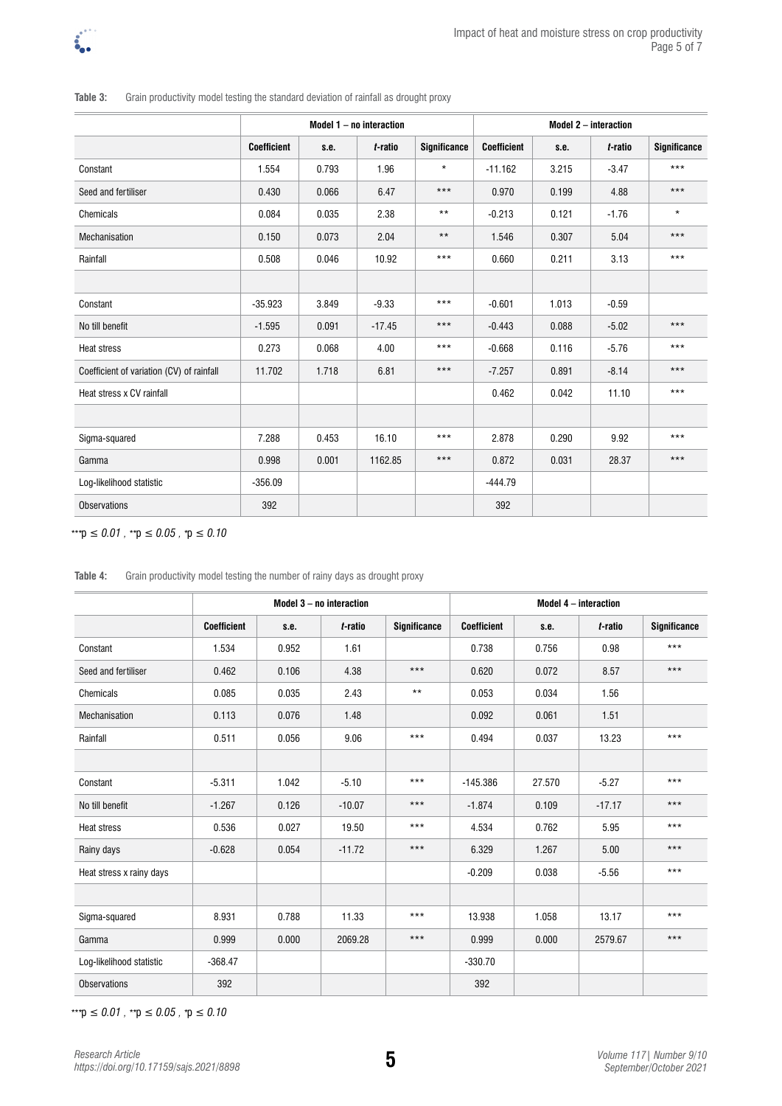

|                                           | Model $1 - no$ interaction |       |          |                     | Model 2 - interaction |       |         |                     |  |
|-------------------------------------------|----------------------------|-------|----------|---------------------|-----------------------|-------|---------|---------------------|--|
|                                           | <b>Coefficient</b>         | s.e.  | t-ratio  | <b>Significance</b> | <b>Coefficient</b>    | s.e.  | t-ratio | <b>Significance</b> |  |
| Constant                                  | 1.554                      | 0.793 | 1.96     | $\star$             | $-11.162$             | 3.215 | $-3.47$ | $***$               |  |
| Seed and fertiliser                       | 0.430                      | 0.066 | 6.47     | $***$               | 0.970                 | 0.199 | 4.88    | $***$               |  |
| Chemicals                                 | 0.084                      | 0.035 | 2.38     | $***$               | $-0.213$              | 0.121 | $-1.76$ | $\star$             |  |
| Mechanisation                             | 0.150                      | 0.073 | 2.04     | $***$               | 1.546                 | 0.307 | 5.04    | $***$               |  |
| Rainfall                                  | 0.508                      | 0.046 | 10.92    | $***$               | 0.660                 | 0.211 | 3.13    | $***$               |  |
|                                           |                            |       |          |                     |                       |       |         |                     |  |
| Constant                                  | $-35.923$                  | 3.849 | $-9.33$  | $***$               | $-0.601$              | 1.013 | $-0.59$ |                     |  |
| No till benefit                           | $-1.595$                   | 0.091 | $-17.45$ | $***$               | $-0.443$              | 0.088 | $-5.02$ | $***$               |  |
| <b>Heat stress</b>                        | 0.273                      | 0.068 | 4.00     | ***                 | $-0.668$              | 0.116 | $-5.76$ | $***$               |  |
| Coefficient of variation (CV) of rainfall | 11.702                     | 1.718 | 6.81     | $***$               | $-7.257$              | 0.891 | $-8.14$ | $***$               |  |
| Heat stress x CV rainfall                 |                            |       |          |                     | 0.462                 | 0.042 | 11.10   | $***$               |  |
|                                           |                            |       |          |                     |                       |       |         |                     |  |
| Sigma-squared                             | 7.288                      | 0.453 | 16.10    | $***$               | 2.878                 | 0.290 | 9.92    | $***$               |  |
| Gamma                                     | 0.998                      | 0.001 | 1162.85  | $***$               | 0.872                 | 0.031 | 28.37   | $***$               |  |
| Log-likelihood statistic                  | $-356.09$                  |       |          |                     | $-444.79$             |       |         |                     |  |
| <b>Observations</b>                       | 392                        |       |          |                     | 392                   |       |         |                     |  |

**Table 3:** Grain productivity model testing the standard deviation of rainfall as drought proxy

*\*\*\**p *≤ 0.01 , \*\**p *≤ 0.05 , \**p *≤ 0.10* 

| Table 4: |  | Grain productivity model testing the number of rainy days as drought proxy |
|----------|--|----------------------------------------------------------------------------|
|          |  |                                                                            |

|                          |                    |       | Model 3 - no interaction |                     |                    |        | Model 4 - interaction |                     |
|--------------------------|--------------------|-------|--------------------------|---------------------|--------------------|--------|-----------------------|---------------------|
|                          | <b>Coefficient</b> | s.e.  | t-ratio                  | <b>Significance</b> | <b>Coefficient</b> | s.e.   | t-ratio               | <b>Significance</b> |
| Constant                 | 1.534              | 0.952 | 1.61                     |                     | 0.738              | 0.756  | 0.98                  | $***$               |
| Seed and fertiliser      | 0.462              | 0.106 | 4.38                     | $***$               | 0.620              | 0.072  | 8.57                  | $***$               |
| Chemicals                | 0.085              | 0.035 | 2.43                     | $***$               | 0.053              | 0.034  | 1.56                  |                     |
| Mechanisation            | 0.113              | 0.076 | 1.48                     |                     | 0.092              | 0.061  | 1.51                  |                     |
| Rainfall                 | 0.511              | 0.056 | 9.06                     | $***$               | 0.494              | 0.037  | 13.23                 | $***$               |
|                          |                    |       |                          |                     |                    |        |                       |                     |
| Constant                 | $-5.311$           | 1.042 | $-5.10$                  | $***$               | $-145.386$         | 27.570 | $-5.27$               | $***$               |
| No till benefit          | $-1.267$           | 0.126 | $-10.07$                 | $***$               | $-1.874$           | 0.109  | $-17.17$              | $***$               |
| <b>Heat stress</b>       | 0.536              | 0.027 | 19.50                    | $***$               | 4.534              | 0.762  | 5.95                  | $***$               |
| Rainy days               | $-0.628$           | 0.054 | $-11.72$                 | $***$               | 6.329              | 1.267  | 5.00                  | $***$               |
| Heat stress x rainy days |                    |       |                          |                     | $-0.209$           | 0.038  | $-5.56$               | $***$               |
|                          |                    |       |                          |                     |                    |        |                       |                     |
| Sigma-squared            | 8.931              | 0.788 | 11.33                    | $***$               | 13.938             | 1.058  | 13.17                 | $***$               |
| Gamma                    | 0.999              | 0.000 | 2069.28                  | $***$               | 0.999              | 0.000  | 2579.67               | $***$               |
| Log-likelihood statistic | $-368.47$          |       |                          |                     | $-330.70$          |        |                       |                     |
| <b>Observations</b>      | 392                |       |                          |                     | 392                |        |                       |                     |

*\*\*\**p *≤ 0.01 , \*\**p *≤ 0.05 , \**p *≤ 0.10*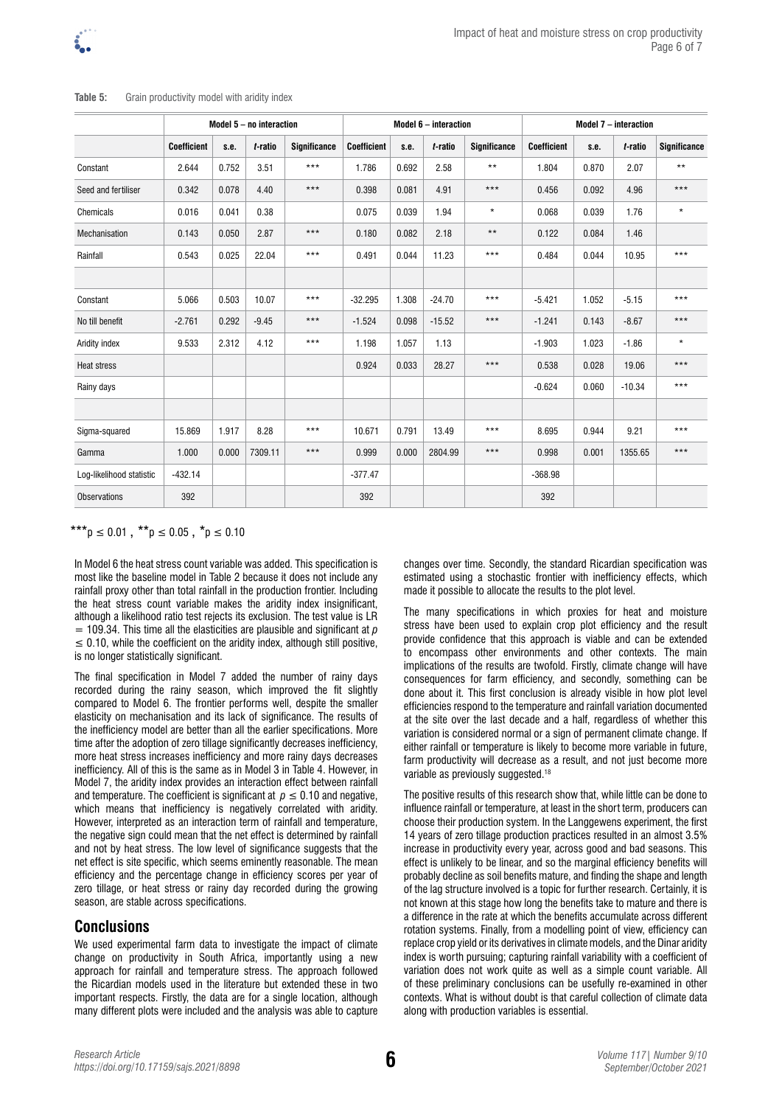|                          | Model $5 - no$ interaction |       |         |                     |                    | Model 6 - interaction |          |                     |                    | Model 7 - interaction |          |                     |  |
|--------------------------|----------------------------|-------|---------|---------------------|--------------------|-----------------------|----------|---------------------|--------------------|-----------------------|----------|---------------------|--|
|                          | <b>Coefficient</b>         | s.e.  | t-ratio | <b>Significance</b> | <b>Coefficient</b> | s.e.                  | t-ratio  | <b>Significance</b> | <b>Coefficient</b> | s.e.                  | t-ratio  | <b>Significance</b> |  |
| Constant                 | 2.644                      | 0.752 | 3.51    | $***$               | 1.786              | 0.692                 | 2.58     | $***$               | 1.804              | 0.870                 | 2.07     | $\star\star$        |  |
| Seed and fertiliser      | 0.342                      | 0.078 | 4.40    | $***$               | 0.398              | 0.081                 | 4.91     | $***$               | 0.456              | 0.092                 | 4.96     | ***                 |  |
| Chemicals                | 0.016                      | 0.041 | 0.38    |                     | 0.075              | 0.039                 | 1.94     | $\star$             | 0.068              | 0.039                 | 1.76     | $\star$             |  |
| Mechanisation            | 0.143                      | 0.050 | 2.87    | $***$               | 0.180              | 0.082                 | 2.18     | $**$                | 0.122              | 0.084                 | 1.46     |                     |  |
| Rainfall                 | 0.543                      | 0.025 | 22.04   | $***$               | 0.491              | 0.044                 | 11.23    | $***$               | 0.484              | 0.044                 | 10.95    | ***                 |  |
|                          |                            |       |         |                     |                    |                       |          |                     |                    |                       |          |                     |  |
| Constant                 | 5.066                      | 0.503 | 10.07   | $***$               | $-32.295$          | 1.308                 | $-24.70$ | $***$               | $-5.421$           | 1.052                 | $-5.15$  | ***                 |  |
| No till benefit          | $-2.761$                   | 0.292 | $-9.45$ | $***$               | $-1.524$           | 0.098                 | $-15.52$ | $***$               | $-1.241$           | 0.143                 | $-8.67$  | $***$               |  |
| Aridity index            | 9.533                      | 2.312 | 4.12    | $***$               | 1.198              | 1.057                 | 1.13     |                     | $-1.903$           | 1.023                 | $-1.86$  | $\star$             |  |
| <b>Heat stress</b>       |                            |       |         |                     | 0.924              | 0.033                 | 28.27    | $***$               | 0.538              | 0.028                 | 19.06    | ***                 |  |
| Rainy days               |                            |       |         |                     |                    |                       |          |                     | $-0.624$           | 0.060                 | $-10.34$ | ***                 |  |
|                          |                            |       |         |                     |                    |                       |          |                     |                    |                       |          |                     |  |
| Sigma-squared            | 15.869                     | 1.917 | 8.28    | $***$               | 10.671             | 0.791                 | 13.49    | $***$               | 8.695              | 0.944                 | 9.21     | ***                 |  |
| Gamma                    | 1.000                      | 0.000 | 7309.11 | $***$               | 0.999              | 0.000                 | 2804.99  | $***$               | 0.998              | 0.001                 | 1355.65  | $***$               |  |
| Log-likelihood statistic | $-432.14$                  |       |         |                     | $-377.47$          |                       |          |                     | $-368.98$          |                       |          |                     |  |
| <b>Observations</b>      | 392                        |       |         |                     | 392                |                       |          |                     | 392                |                       |          |                     |  |

#### **Table 5:** Grain productivity model with aridity index

### \*\*\*p  $\leq 0.01$ , \*\*p  $\leq 0.05$ , \*p  $\leq 0.10$

In Model 6 the heat stress count variable was added. This specification is most like the baseline model in Table 2 because it does not include any rainfall proxy other than total rainfall in the production frontier. Including the heat stress count variable makes the aridity index insignificant, although a likelihood ratio test rejects its exclusion. The test value is LR  $= 109.34$ . This time all the elasticities are plausible and significant at  $\rho$  $\leq$  0.10, while the coefficient on the aridity index, although still positive, is no longer statistically significant.

The final specification in Model 7 added the number of rainy days recorded during the rainy season, which improved the fit slightly compared to Model 6. The frontier performs well, despite the smaller elasticity on mechanisation and its lack of significance. The results of the inefficiency model are better than all the earlier specifications. More time after the adoption of zero tillage significantly decreases inefficiency, more heat stress increases inefficiency and more rainy days decreases inefficiency. All of this is the same as in Model 3 in Table 4. However, in Model 7, the aridity index provides an interaction effect between rainfall and temperature. The coefficient is significant at  $p \leq 0.10$  and negative, which means that inefficiency is negatively correlated with aridity. However, interpreted as an interaction term of rainfall and temperature, the negative sign could mean that the net effect is determined by rainfall and not by heat stress. The low level of significance suggests that the net effect is site specific, which seems eminently reasonable. The mean efficiency and the percentage change in efficiency scores per year of zero tillage, or heat stress or rainy day recorded during the growing season, are stable across specifications.

## **Conclusions**

We used experimental farm data to investigate the impact of climate change on productivity in South Africa, importantly using a new approach for rainfall and temperature stress. The approach followed the Ricardian models used in the literature but extended these in two important respects. Firstly, the data are for a single location, although many different plots were included and the analysis was able to capture

changes over time. Secondly, the standard Ricardian specification was estimated using a stochastic frontier with inefficiency effects, which made it possible to allocate the results to the plot level.

The many specifications in which proxies for heat and moisture stress have been used to explain crop plot efficiency and the result provide confidence that this approach is viable and can be extended to encompass other environments and other contexts. The main implications of the results are twofold. Firstly, climate change will have consequences for farm efficiency, and secondly, something can be done about it. This first conclusion is already visible in how plot level efficiencies respond to the temperature and rainfall variation documented at the site over the last decade and a half, regardless of whether this variation is considered normal or a sign of permanent climate change. If either rainfall or temperature is likely to become more variable in future, farm productivity will decrease as a result, and not just become more variable as previously suggested.<sup>18</sup>

The positive results of this research show that, while little can be done to influence rainfall or temperature, at least in the short term, producers can choose their production system. In the Langgewens experiment, the first 14 years of zero tillage production practices resulted in an almost 3.5% increase in productivity every year, across good and bad seasons. This effect is unlikely to be linear, and so the marginal efficiency benefits will probably decline as soil benefits mature, and finding the shape and length of the lag structure involved is a topic for further research. Certainly, it is not known at this stage how long the benefits take to mature and there is a difference in the rate at which the benefits accumulate across different rotation systems. Finally, from a modelling point of view, efficiency can replace crop yield or its derivatives in climate models, and the Dinar aridity index is worth pursuing; capturing rainfall variability with a coefficient of variation does not work quite as well as a simple count variable. All of these preliminary conclusions can be usefully re-examined in other contexts. What is without doubt is that careful collection of climate data along with production variables is essential.